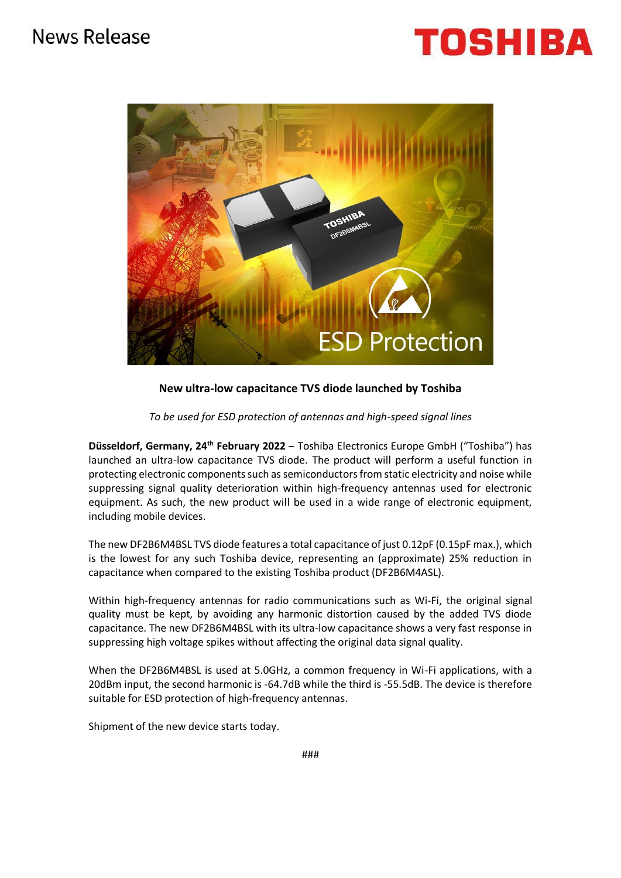## News Release

# TOSHIBA



### **New ultra-low capacitance TVS diode launched by Toshiba**

*To be used for ESD protection of antennas and high-speed signal lines*

**Düsseldorf, Germany, 24th February 2022** – Toshiba Electronics Europe GmbH ("Toshiba") has launched an ultra-low capacitance TVS diode. The product will perform a useful function in protecting electronic components such as semiconductors from static electricity and noise while suppressing signal quality deterioration within high-frequency antennas used for electronic equipment. As such, the new product will be used in a wide range of electronic equipment, including mobile devices.

The new DF2B6M4BSL TVS diode features a total capacitance of just 0.12pF (0.15pF max.), which is the lowest for any such Toshiba device, representing an (approximate) 25% reduction in capacitance when compared to the existing Toshiba product (DF2B6M4ASL).

Within high-frequency antennas for radio communications such as Wi-Fi, the original signal quality must be kept, by avoiding any harmonic distortion caused by the added TVS diode capacitance. The new DF2B6M4BSL with its ultra-low capacitance shows a very fast response in suppressing high voltage spikes without affecting the original data signal quality.

When the DF2B6M4BSL is used at 5.0GHz, a common frequency in Wi-Fi applications, with a 20dBm input, the second harmonic is -64.7dB while the third is -55.5dB. The device is therefore suitable for ESD protection of high-frequency antennas.

Shipment of the new device starts today.